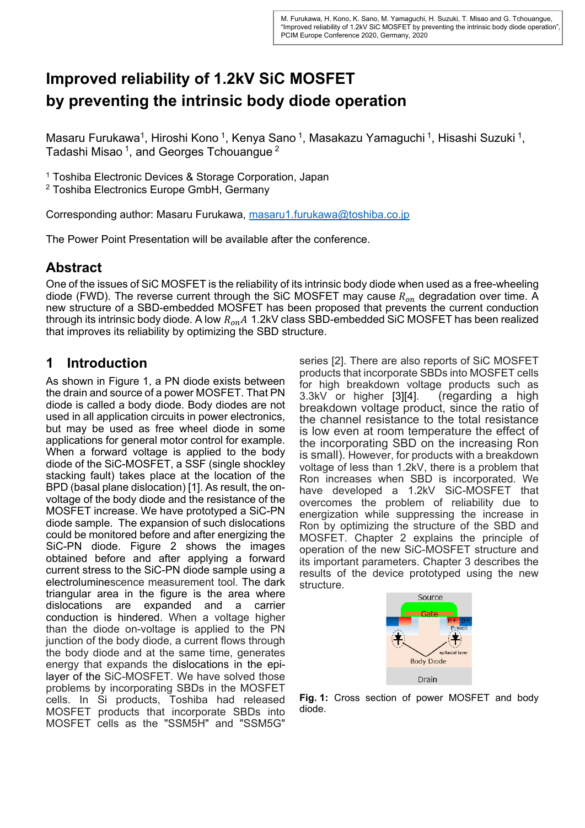# **Improved reliability of 1.2kV SiC MOSFET by preventing the intrinsic body diode operation**

Masaru Furukawa<sup>1</sup>, Hiroshi Kono<sup>1</sup>, Kenya Sano<sup>1</sup>, Masakazu Yamaguchi<sup>1</sup>, Hisashi Suzuki<sup>1</sup>, Tadashi Misao<sup>1</sup>, and Georges Tchouangue<sup>2</sup>

1 Toshiba Electronic Devices & Storage Corporation, Japan

2 Toshiba Electronics Europe GmbH, Germany

Corresponding author: Masaru Furukawa, masaru1.furukawa@toshiba.co.jp

The Power Point Presentation will be available after the conference.

# **Abstract**

One of the issues of SiC MOSFET is the reliability of its intrinsic body diode when used as a free-wheeling diode (FWD). The reverse current through the SiC MOSFET may cause  $R_{on}$  degradation over time. A new structure of a SBD-embedded MOSFET has been proposed that prevents the current conduction through its intrinsic body diode. A low  $R_{on}A$  1.2kV class SBD-embedded SiC MOSFET has been realized that improves its reliability by optimizing the SBD structure.

# **1 Introduction**

As shown in Figure 1, a PN diode exists between the drain and source of a power MOSFET. That PN diode is called a body diode. Body diodes are not used in all application circuits in power electronics, but may be used as free wheel diode in some applications for general motor control for example. When a forward voltage is applied to the body diode of the SiC-MOSFET, a SSF (single shockley stacking fault) takes place at the location of the BPD (basal plane dislocation) [1]. As result, the onvoltage of the body diode and the resistance of the MOSFET increase. We have prototyped a SiC-PN diode sample. The expansion of such dislocations could be monitored before and after energizing the SiC-PN diode. Figure 2 shows the images obtained before and after applying a forward current stress to the SiC-PN diode sample using a electroluminescence measurement tool. The dark triangular area in the figure is the area where dislocations are expanded and a carrier conduction is hindered. When a voltage higher than the diode on-voltage is applied to the PN junction of the body diode, a current flows through the body diode and at the same time, generates energy that expands the dislocations in the epilayer of the SiC-MOSFET. We have solved those problems by incorporating SBDs in the MOSFET cells. In Si products, Toshiba had released MOSFET products that incorporate SBDs into MOSFET cells as the "SSM5H" and "SSM5G" series [2]. There are also reports of SiC MOSFET products that incorporate SBDs into MOSFET cells for high breakdown voltage products such as 3.3kV or higher [3][4]. (regarding a high breakdown voltage product, since the ratio of the channel resistance to the total resistance is low even at room temperature the effect of the incorporating SBD on the increasing Ron is small). However, for products with a breakdown voltage of less than 1.2kV, there is a problem that Ron increases when SBD is incorporated. We have developed a 1.2kV SiC-MOSFET that overcomes the problem of reliability due to energization while suppressing the increase in Ron by optimizing the structure of the SBD and MOSFET. Chapter 2 explains the principle of operation of the new SiC-MOSFET structure and its important parameters. Chapter 3 describes the results of the device prototyped using the new structure.



**Fig. 1:** Cross section of power MOSFET and body diode.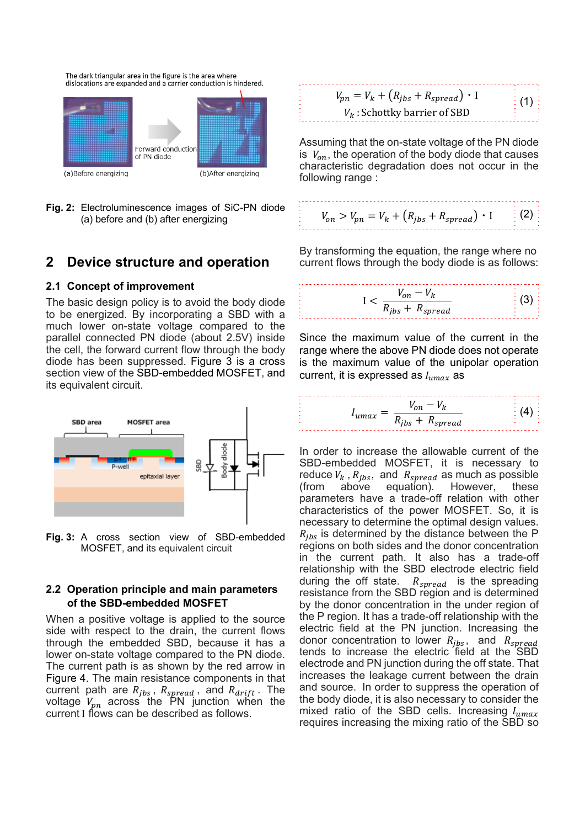The dark triangular area in the figure is the area where dislocations are expanded and a carrier conduction is hindered.



**Fig. 2:** Electroluminescence images of SiC-PN diode (a) before and (b) after energizing

### **2 Device structure and operation**

#### **2.1 Concept of improvement**

The basic design policy is to avoid the body diode to be energized. By incorporating a SBD with a much lower on-state voltage compared to the parallel connected PN diode (about 2.5V) inside the cell, the forward current flow through the body diode has been suppressed. Figure 3 is a cross section view of the SBD-embedded MOSFET, and its equivalent circuit.



**Fig. 3:** A cross section view of SBD-embedded MOSFET, and its equivalent circuit

### **2.2 Operation principle and main parameters of the SBD-embedded MOSFET**

When a positive voltage is applied to the source side with respect to the drain, the current flows through the embedded SBD, because it has a lower on-state voltage compared to the PN diode. The current path is as shown by the red arrow in Figure 4. The main resistance components in that current path are  $R_{jbs}$ ,  $R_{spread}$ , and  $R_{drift}$ . The voltage  $V_{pn}$  across the PN junction when the current I flows can be described as follows.

| $V_{pn} = V_k + (R_{ibs} + R_{spread}) \cdot I$ | $\frac{1}{2}$ (1) |
|-------------------------------------------------|-------------------|
| $V_k$ : Schottky barrier of SBD                 |                   |

Assuming that the on-state voltage of the PN diode is  $V_{on}$ , the operation of the body diode that causes characteristic degradation does not occur in the following range :

$$
V_{on} > V_{pn} = V_k + (R_{jbs} + R_{spread}) \cdot I \qquad (2)
$$

By transforming the equation, the range where no current flows through the body diode is as follows:

$$
I < \frac{V_{on} - V_k}{R_{jbs} + R_{spread}} \tag{3}
$$

Since the maximum value of the current in the range where the above PN diode does not operate is the maximum value of the unipolar operation current, it is expressed as  $I_{umax}$  as

$$
I_{umax} = \frac{V_{on} - V_k}{R_{jbs} + R_{spread}} \tag{4}
$$

In order to increase the allowable current of the SBD-embedded MOSFET, it is necessary to reduce  $V_k$ ,  $R_{jbs}$ , and  $R_{spread}$  as much as possible (from above equation). However, these equation). However, these parameters have a trade-off relation with other characteristics of the power MOSFET. So, it is necessary to determine the optimal design values.  $R_{ibs}$  is determined by the distance between the P regions on both sides and the donor concentration in the current path. It also has a trade-off relationship with the SBD electrode electric field during the off state.  $R_{spread}$  is the spreading resistance from the SBD region and is determined by the donor concentration in the under region of the P region. It has a trade-off relationship with the electric field at the PN junction. Increasing the donor concentration to lower  $R_{ibs}$ , and  $R_{spread}$ tends to increase the electric field at the SBD electrode and PN junction during the off state. That increases the leakage current between the drain and source. In order to suppress the operation of the body diode, it is also necessary to consider the mixed ratio of the SBD cells. Increasing  $I_{umax}$ requires increasing the mixing ratio of the SBD so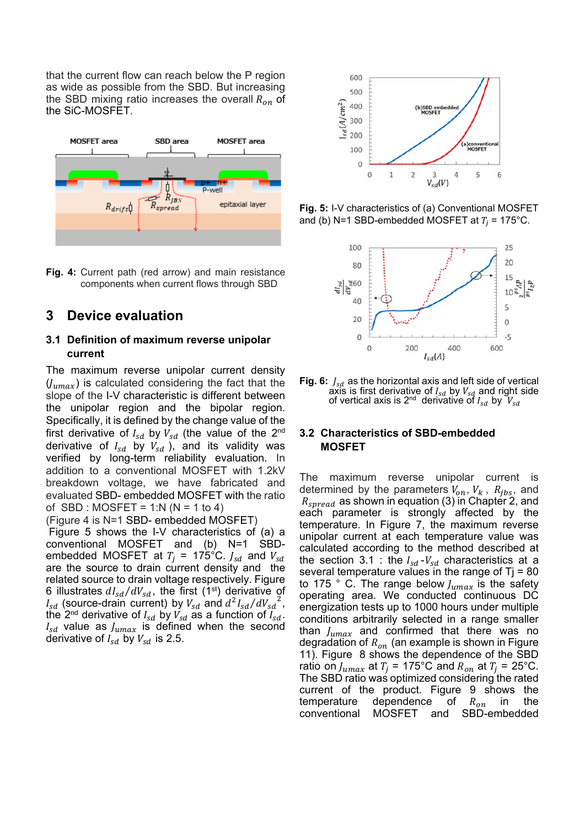that the current flow can reach below the P region as wide as possible from the SBD. But increasing the SBD mixing ratio increases the overall  $R_{on}$  of the SiC-MOSFET.



**Fig. 4:** Current path (red arrow) and main resistance components when current flows through SBD

## **3 Device evaluation**

### **3.1 Definition of maximum reverse unipolar current**

The maximum reverse unipolar current density  $(y_{umax})$  is calculated considering the fact that the slope of the I-V characteristic is different between the unipolar region and the bipolar region. Specifically, it is defined by the change value of the first derivative of  $I_{sd}$  by  $V_{sd}$  (the value of the 2<sup>nd</sup> derivative of  $I_{sd}$  by  $V_{sd}$  ), and its validity was verified by long-term reliability evaluation. In addition to a conventional MOSFET with 1.2kV breakdown voltage, we have fabricated and evaluated SBD- embedded MOSFET with the ratio of SBD : MOSFET = 1:N ( $N = 1$  to 4)

(Figure 4 is N=1 SBD- embedded MOSFET)

 Figure 5 shows the I-V characteristics of (a) a conventional MOSFET and (b) N=1 SBDembedded MOSFET at  $T_i = 175^{\circ}C$ .  $J_{sd}$  and  $V_{sd}$ are the source to drain current density and the related source to drain voltage respectively. Figure 6 illustrates  $dI_{sd}/dV_{sd}$ , the first (1<sup>st</sup>) derivative of  $I_{sd}$  (source-drain current) by  $V_{sd}$  and  $d^2I_{sd}/dV_{sd}^2$ , the 2<sup>nd</sup> derivative of  $I_{sd}$  by  $V_{sd}$  as a function of  $I_{sd}$ .  $I_{sd}$  value as  $J_{umax}$  is defined when the second derivative of  $I_{sd}$  by  $V_{sd}$  is 2.5.



**Fig. 5:** I-V characteristics of (a) Conventional MOSFET and (b) N=1 SBD-embedded MOSFET at  $T_i = 175^{\circ}$ C.



Fig. 6:  $J_{sd}$  as the horizontal axis and left side of vertical axis is first derivative of  $I_{sd}$  by  $V_{sd}$  and right side of vertical axis is 2<sup>nd</sup> derivative of  $I_{sd}$  by  $\boldsymbol{V_{sd}}$ 

#### **3.2 Characteristics of SBD-embedded MOSFET**

The maximum reverse unipolar current is determined by the parameters  $V_{on}$ ,  $V_k$ ,  $R_{jbs}$ , and  $R_{spread}$  as shown in equation (3) in Chapter 2, and each parameter is strongly affected by the temperature. In Figure 7, the maximum reverse unipolar current at each temperature value was calculated according to the method described at the section 3.1 : the  $I_{sd}$ - $V_{sd}$  characteristics at a several temperature values in the range of  $Tj = 80$ to 175 ° C. The range below  $J_{umax}$  is the safety operating area. We conducted continuous DC energization tests up to 1000 hours under multiple conditions arbitrarily selected in a range smaller than  $J_{umax}$  and confirmed that there was no degradation of  $R_{on}$  (an example is shown in Figure 11). Figure 8 shows the dependence of the SBD ratio on  $J_{umax}$  at  $T_i$  = 175°C and  $R_{on}$  at  $T_i$  = 25°C. The SBD ratio was optimized considering the rated current of the product. Figure 9 shows the temperature dependence of  $R_{on}$  in the conventional MOSFET and SBD-embedded conventional MOSFET and SBD-embedded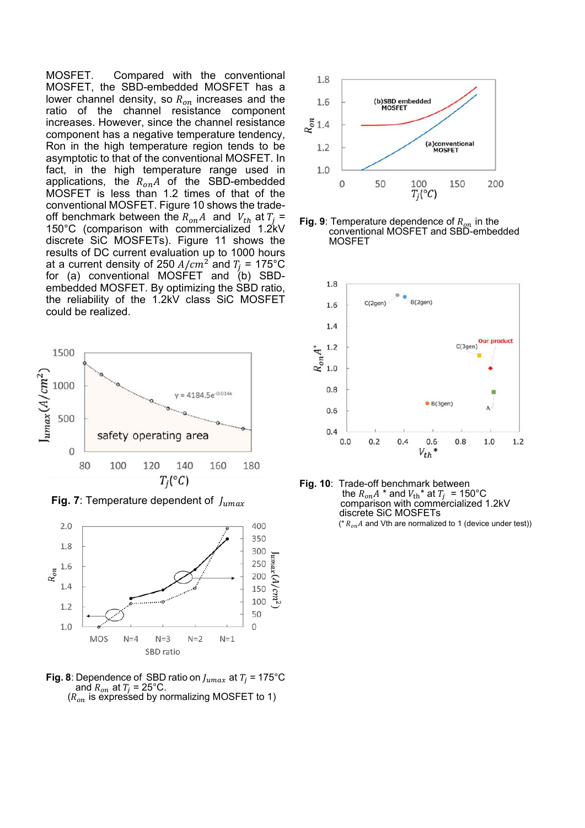MOSFET. Compared with the conventional MOSFET, the SBD-embedded MOSFET has a lower channel density, so  $R_{on}$  increases and the ratio of the channel resistance component increases. However, since the channel resistance component has a negative temperature tendency, Ron in the high temperature region tends to be asymptotic to that of the conventional MOSFET. In fact, in the high temperature range used in applications, the  $R_{on}A$  of the SBD-embedded MOSFET is less than 1.2 times of that of the conventional MOSFET. Figure 10 shows the tradeoff benchmark between the  $R_{on}A$  and  $V_{th}$  at  $T_i =$ 150°C (comparison with commercialized 1.2kV discrete SiC MOSFETs). Figure 11 shows the results of DC current evaluation up to 1000 hours at a current density of 250  $A/cm^2$  and  $T_j$  = 175°C for (a) conventional MOSFET and (b) SBDembedded MOSFET. By optimizing the SBD ratio, the reliability of the 1.2kV class SiC MOSFET could be realized.



**Fig. 7**: Temperature dependent of  $J_{umax}$ 



**Fig. 8**: Dependence of SBD ratio on  $J_{umax}$  at  $T_i = 175^{\circ}$ C and  $R_{on}$  at  $T_i = 25^{\circ}$ C.  $(R_{on}$  is expressed by normalizing MOSFET to 1)



**Fig. 9**: Temperature dependence of  $R_{on}$  in the conventional MOSFET and SBD-embedded MOSFET



**Fig. 10**: Trade-off benchmark between the  $R_{on}A^*$  and  $V_{\text{th}}^*$  at  $T_j = 150^{\circ}\text{C}$ comparison with commercialized 1.2kV discrete SiC MOSFETs ( $*$   $R_{on}$  and Vth are normalized to 1 (device under test))